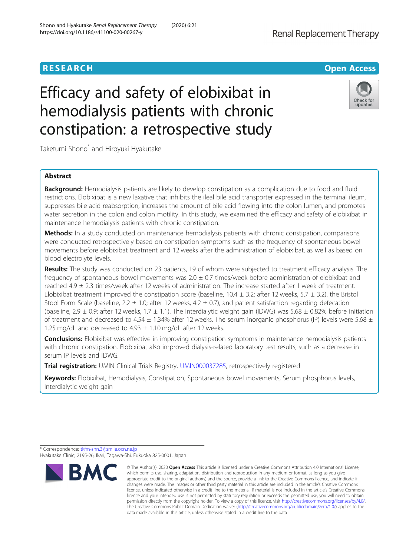# **RESEARCH RESEARCH** *CHECK <b>CHECK*

# Efficacy and safety of elobixibat in hemodialysis patients with chronic constipation: a retrospective study



Takefumi Shono<sup>\*</sup> and Hiroyuki Hyakutake

# Abstract

Background: Hemodialysis patients are likely to develop constipation as a complication due to food and fluid restrictions. Elobixibat is a new laxative that inhibits the ileal bile acid transporter expressed in the terminal ileum, suppresses bile acid reabsorption, increases the amount of bile acid flowing into the colon lumen, and promotes water secretion in the colon and colon motility. In this study, we examined the efficacy and safety of elobixibat in maintenance hemodialysis patients with chronic constipation.

Methods: In a study conducted on maintenance hemodialysis patients with chronic constipation, comparisons were conducted retrospectively based on constipation symptoms such as the frequency of spontaneous bowel movements before elobixibat treatment and 12 weeks after the administration of elobixibat, as well as based on blood electrolyte levels.

Results: The study was conducted on 23 patients, 19 of whom were subjected to treatment efficacy analysis. The frequency of spontaneous bowel movements was  $2.0 \pm 0.7$  times/week before administration of elobixibat and reached 4.9 ± 2.3 times/week after 12 weeks of administration. The increase started after 1 week of treatment. Elobixibat treatment improved the constipation score (baseline,  $10.4 \pm 3.2$ ; after 12 weeks,  $5.7 \pm 3.2$ ), the Bristol Stool Form Scale (baseline, 2.2  $\pm$  1.0; after 12 weeks, 4.2  $\pm$  0.7), and patient satisfaction regarding defecation (baseline, 2.9  $\pm$  0.9; after 12 weeks, 1.7  $\pm$  1.1). The interdialytic weight gain (IDWG) was 5.68  $\pm$  0.82% before initiation of treatment and decreased to 4.54  $\pm$  1.34% after 12 weeks. The serum inorganic phosphorus (IP) levels were 5.68  $\pm$ 1.25 mg/dL and decreased to 4.93  $\pm$  1.10 mg/dL after 12 weeks.

**Conclusions:** Elobixibat was effective in improving constipation symptoms in maintenance hemodialysis patients with chronic constipation. Elobixibat also improved dialysis-related laboratory test results, such as a decrease in serum IP levels and IDWG.

Trial registration: UMIN Clinical Trials Registry, [UMIN000037285](https://upload.umin.ac.jp/cgi-open-bin/ctr/ctr.cgi?function=brows&action=brows&recptno=R000042502&type=summary&language=J), retrospectively registered

Keywords: Elobixibat, Hemodialysis, Constipation, Spontaneous bowel movements, Serum phosphorus levels, Interdialytic weight gain

\* Correspondence: [tkfm-shn.3@smile.ocn.ne.jp](mailto:tkfm-shn.3@smile.ocn.ne.jp)

Hyakutake Clinic, 2195-26, Ikari, Tagawa-Shi, Fukuoka 825-0001, Japan



<sup>©</sup> The Author(s), 2020 **Open Access** This article is licensed under a Creative Commons Attribution 4.0 International License, which permits use, sharing, adaptation, distribution and reproduction in any medium or format, as long as you give appropriate credit to the original author(s) and the source, provide a link to the Creative Commons licence, and indicate if changes were made. The images or other third party material in this article are included in the article's Creative Commons licence, unless indicated otherwise in a credit line to the material. If material is not included in the article's Creative Commons licence and your intended use is not permitted by statutory regulation or exceeds the permitted use, you will need to obtain permission directly from the copyright holder. To view a copy of this licence, visit [http://creativecommons.org/licenses/by/4.0/.](http://creativecommons.org/licenses/by/4.0/) The Creative Commons Public Domain Dedication waiver [\(http://creativecommons.org/publicdomain/zero/1.0/](http://creativecommons.org/publicdomain/zero/1.0/)) applies to the data made available in this article, unless otherwise stated in a credit line to the data.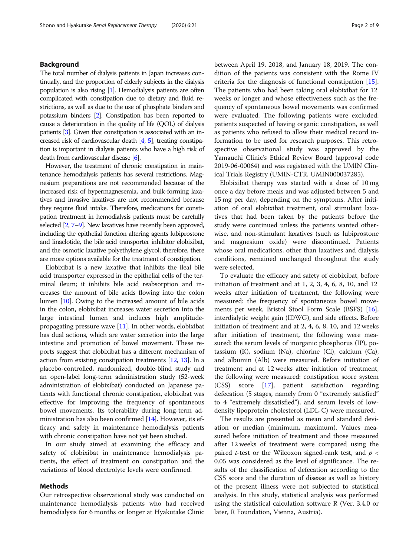# Background

The total number of dialysis patients in Japan increases continually, and the proportion of elderly subjects in the dialysis population is also rising [[1](#page-8-0)]. Hemodialysis patients are often complicated with constipation due to dietary and fluid restrictions, as well as due to the use of phosphate binders and potassium binders [\[2\]](#page-8-0). Constipation has been reported to cause a deterioration in the quality of life (QOL) of dialysis patients [\[3\]](#page-8-0). Given that constipation is associated with an increased risk of cardiovascular death [[4](#page-8-0), [5\]](#page-8-0), treating constipation is important in dialysis patients who have a high risk of death from cardiovascular disease [[6](#page-8-0)].

However, the treatment of chronic constipation in maintenance hemodialysis patients has several restrictions. Magnesium preparations are not recommended because of the increased risk of hypermagnesemia, and bulk-forming laxatives and invasive laxatives are not recommended because they require fluid intake. Therefore, medications for constipation treatment in hemodialysis patients must be carefully selected [\[2,](#page-8-0) [7](#page-8-0)–[9](#page-8-0)]. New laxatives have recently been approved, including the epithelial function altering agents lubiprostone and linaclotide, the bile acid transporter inhibitor elobixibat, and the osmotic laxative polyethylene glycol; therefore, there are more options available for the treatment of constipation.

Elobixibat is a new laxative that inhibits the ileal bile acid transporter expressed in the epithelial cells of the terminal ileum; it inhibits bile acid reabsorption and increases the amount of bile acids flowing into the colon lumen [[10](#page-8-0)]. Owing to the increased amount of bile acids in the colon, elobixibat increases water secretion into the large intestinal lumen and induces high amplitudepropagating pressure wave [\[11\]](#page-8-0). In other words, elobixibat has dual actions, which are water secretion into the large intestine and promotion of bowel movement. These reports suggest that elobixibat has a different mechanism of action from existing constipation treatments [\[12,](#page-8-0) [13](#page-8-0)]. In a placebo-controlled, randomized, double-blind study and an open-label long-term administration study (52-week administration of elobixibat) conducted on Japanese patients with functional chronic constipation, elobixibat was effective for improving the frequency of spontaneous bowel movements. Its tolerability during long-term administration has also been confirmed [\[14\]](#page-8-0). However, its efficacy and safety in maintenance hemodialysis patients with chronic constipation have not yet been studied.

In our study aimed at examining the efficacy and safety of elobixibat in maintenance hemodialysis patients, the effect of treatment on constipation and the variations of blood electrolyte levels were confirmed.

#### Methods

Our retrospective observational study was conducted on maintenance hemodialysis patients who had received hemodialysis for 6 months or longer at Hyakutake Clinic between April 19, 2018, and January 18, 2019. The condition of the patients was consistent with the Rome IV criteria for the diagnosis of functional constipation [\[15](#page-8-0)]. The patients who had been taking oral elobixibat for 12 weeks or longer and whose effectiveness such as the frequency of spontaneous bowel movements was confirmed were evaluated. The following patients were excluded: patients suspected of having organic constipation, as well as patients who refused to allow their medical record information to be used for research purposes. This retrospective observational study was approved by the Yamauchi Clinic's Ethical Review Board (approval code 2019-06-00064) and was registered with the UMIN Clinical Trials Registry (UMIN-CTR, UMIN000037285).

Elobixibat therapy was started with a dose of 10 mg once a day before meals and was adjusted between 5 and 15 mg per day, depending on the symptoms. After initiation of oral elobixibat treatment, oral stimulant laxatives that had been taken by the patients before the study were continued unless the patients wanted otherwise, and non-stimulant laxatives (such as lubiprostone and magnesium oxide) were discontinued. Patients whose oral medications, other than laxatives and dialysis conditions, remained unchanged throughout the study were selected.

To evaluate the efficacy and safety of elobixibat, before initiation of treatment and at 1, 2, 3, 4, 6, 8, 10, and 12 weeks after initiation of treatment, the following were measured: the frequency of spontaneous bowel movements per week, Bristol Stool Form Scale (BSFS) [\[16](#page-8-0)], interdialytic weight gain (IDWG), and side effects. Before initiation of treatment and at 2, 4, 6, 8, 10, and 12 weeks after initiation of treatment, the following were measured: the serum levels of inorganic phosphorus (IP), potassium (K), sodium (Na), chlorine (Cl), calcium (Ca), and albumin (Alb) were measured. Before initiation of treatment and at 12 weeks after initiation of treatment, the following were measured: constipation score system (CSS) score [[17](#page-8-0)], patient satisfaction regarding defecation (5 stages, namely from 0 "extremely satisfied" to 4 "extremely dissatisfied"), and serum levels of lowdensity lipoprotein cholesterol (LDL-C) were measured.

The results are presented as mean and standard deviation or median (minimum, maximum). Values measured before initiation of treatment and those measured after 12 weeks of treatment were compared using the paired *t*-test or the Wilcoxon signed-rank test, and  $p <$ 0.05 was considered as the level of significance. The results of the classification of defecation according to the CSS score and the duration of disease as well as history of the present illness were not subjected to statistical analysis. In this study, statistical analysis was performed using the statistical calculation software R (Ver. 3.4.0 or later, R Foundation, Vienna, Austria).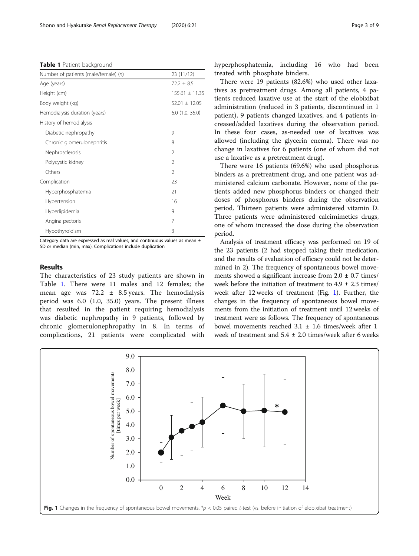<span id="page-2-0"></span>Table 1 Patient background

| Number of patients (male/female) (n)<br>23 (11/12) |                          |
|----------------------------------------------------|--------------------------|
| Age (years)                                        | $72.2 + 8.5$             |
| Height (cm)                                        | $155.61 \pm 11.35$       |
| Body weight (kg)                                   | $52.01 \pm 12.05$        |
| Hemodialysis duration (years)                      | $6.0$ $(1.0, 35.0)$      |
| History of hemodialysis                            |                          |
| Diabetic nephropathy                               | 9                        |
| Chronic glomerulonephritis                         | 8                        |
| Nephrosclerosis                                    | $\mathfrak{D}$           |
| Polycystic kidney                                  | $\mathfrak{D}$           |
| Others                                             | $\overline{\phantom{a}}$ |
| Complication                                       | 23                       |
| Hyperphosphatemia                                  | 21                       |
| Hypertension                                       | 16                       |
| Hyperlipidemia                                     | 9                        |
| Angina pectoris                                    | 7                        |
| Hypothyroidism                                     | 3                        |

Category data are expressed as real values, and continuous values as mean  $\pm$ SD or median (min, max). Complications include duplication

#### Results

The characteristics of 23 study patients are shown in Table 1. There were 11 males and 12 females; the mean age was  $72.2 \pm 8.5$  years. The hemodialysis period was 6.0 (1.0, 35.0) years. The present illness that resulted in the patient requiring hemodialysis was diabetic nephropathy in 9 patients, followed by chronic glomerulonephropathy in 8. In terms of complications, 21 patients were complicated with hyperphosphatemia, including 16 who had been treated with phosphate binders.

There were 19 patients (82.6%) who used other laxatives as pretreatment drugs. Among all patients, 4 patients reduced laxative use at the start of the elobixibat administration (reduced in 3 patients, discontinued in 1 patient), 9 patients changed laxatives, and 4 patients increased/added laxatives during the observation period. In these four cases, as-needed use of laxatives was allowed (including the glycerin enema). There was no change in laxatives for 6 patients (one of whom did not use a laxative as a pretreatment drug).

There were 16 patients (69.6%) who used phosphorus binders as a pretreatment drug, and one patient was administered calcium carbonate. However, none of the patients added new phosphorus binders or changed their doses of phosphorus binders during the observation period. Thirteen patients were administered vitamin D. Three patients were administered calcimimetics drugs, one of whom increased the dose during the observation period.

Analysis of treatment efficacy was performed on 19 of the 23 patients (2 had stopped taking their medication, and the results of evaluation of efficacy could not be determined in 2). The frequency of spontaneous bowel movements showed a significant increase from  $2.0 \pm 0.7$  times/ week before the initiation of treatment to  $4.9 \pm 2.3$  times/ week after 12 weeks of treatment (Fig. 1). Further, the changes in the frequency of spontaneous bowel movements from the initiation of treatment until 12 weeks of treatment were as follows. The frequency of spontaneous bowel movements reached  $3.1 \pm 1.6$  times/week after 1 week of treatment and  $5.4 \pm 2.0$  times/week after 6 weeks

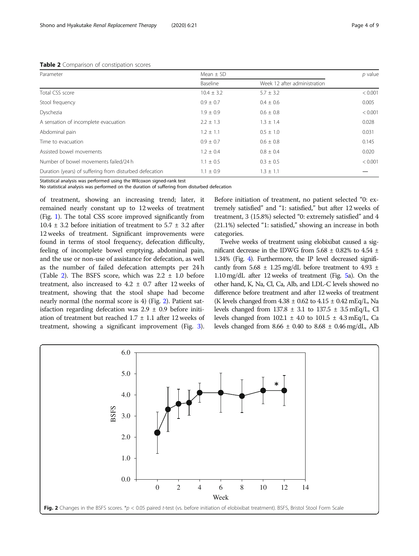#### Table 2 Comparison of constipation scores

| Parameter                                               | Mean $\pm$ SD  |                              |         |
|---------------------------------------------------------|----------------|------------------------------|---------|
|                                                         | Baseline       | Week 12 after administration |         |
| Total CSS score                                         | $10.4 \pm 3.2$ | $5.7 \pm 3.2$                | < 0.001 |
| Stool frequency                                         | $0.9 \pm 0.7$  | $0.4 \pm 0.6$                | 0.005   |
| Dyschezia                                               | $1.9 \pm 0.9$  | $0.6 \pm 0.8$                | < 0.001 |
| A sensation of incomplete evacuation                    | $2.2 \pm 1.3$  | $1.3 \pm 1.4$                | 0.028   |
| Abdominal pain                                          | $1.2 \pm 1.1$  | $0.5 \pm 1.0$                | 0.031   |
| Time to evacuation                                      | $0.9 \pm 0.7$  | $0.6 \pm 0.8$                | 0.145   |
| Assisted bowel movements                                | $1.2 \pm 0.4$  | $0.8 \pm 0.4$                | 0.020   |
| Number of bowel movements failed/24 h                   | $1.1 \pm 0.5$  | $0.3 \pm 0.5$                | < 0.001 |
| Duration (years) of suffering from disturbed defecation | $1.1 \pm 0.9$  | $1.3 \pm 1.1$                |         |

Statistical analysis was performed using the Wilcoxon signed-rank test

No statistical analysis was performed on the duration of suffering from disturbed defecation

of treatment, showing an increasing trend; later, it remained nearly constant up to 12 weeks of treatment (Fig. [1](#page-2-0)). The total CSS score improved significantly from 10.4  $\pm$  3.2 before initiation of treatment to 5.7  $\pm$  3.2 after 12 weeks of treatment. Significant improvements were found in terms of stool frequency, defecation difficulty, feeling of incomplete bowel emptying, abdominal pain, and the use or non-use of assistance for defecation, as well as the number of failed defecation attempts per 24 h (Table 2). The BSFS score, which was  $2.2 \pm 1.0$  before treatment, also increased to  $4.2 \pm 0.7$  after 12 weeks of treatment, showing that the stool shape had become nearly normal (the normal score is 4) (Fig. 2). Patient satisfaction regarding defecation was  $2.9 \pm 0.9$  before initiation of treatment but reached 1.7 ± 1.1 after 12 weeks of treatment, showing a significant improvement (Fig. [3](#page-4-0)).

Before initiation of treatment, no patient selected "0: extremely satisfied" and "1: satisfied," but after 12 weeks of treatment, 3 (15.8%) selected "0: extremely satisfied" and 4 (21.1%) selected "1: satisfied," showing an increase in both categories.

Twelve weeks of treatment using elobixibat caused a significant decrease in the IDWG from 5.68  $\pm$  0.82% to 4.54  $\pm$ 1.34% (Fig. [4\)](#page-4-0). Furthermore, the IP level decreased significantly from  $5.68 \pm 1.25$  mg/dL before treatment to  $4.93 \pm 1.25$ 1.10 mg/dL after 12 weeks of treatment (Fig. [5a](#page-5-0)). On the other hand, K, Na, Cl, Ca, Alb, and LDL-C levels showed no difference before treatment and after 12 weeks of treatment (K levels changed from  $4.38 \pm 0.62$  to  $4.15 \pm 0.42$  mEq/L, Na levels changed from  $137.8 \pm 3.1$  to  $137.5 \pm 3.5$  mEq/L, Cl levels changed from  $102.1 \pm 4.0$  to  $101.5 \pm 4.3$  mEq/L, Ca levels changed from  $8.66 \pm 0.40$  to  $8.68 \pm 0.46$  mg/dL, Alb

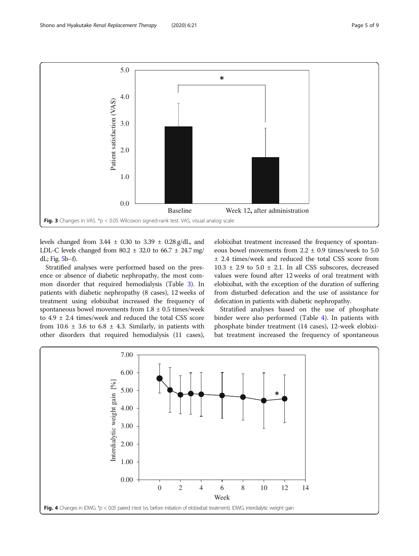<span id="page-4-0"></span>

levels changed from  $3.44 \pm 0.30$  to  $3.39 \pm 0.28$  g/dL, and LDL-C levels changed from  $80.2 \pm 32.0$  to  $66.7 \pm 24.7$  mg/ dL; Fig. [5b](#page-5-0)–f).

Stratified analyses were performed based on the presence or absence of diabetic nephropathy, the most common disorder that required hemodialysis (Table [3](#page-6-0)). In patients with diabetic nephropathy (8 cases), 12 weeks of treatment using elobixibat increased the frequency of spontaneous bowel movements from  $1.8 \pm 0.5$  times/week to 4.9 ± 2.4 times/week and reduced the total CSS score from  $10.6 \pm 3.6$  to  $6.8 \pm 4.3$ . Similarly, in patients with other disorders that required hemodialysis (11 cases),

elobixibat treatment increased the frequency of spontaneous bowel movements from  $2.2 \pm 0.9$  times/week to 5.0 ± 2.4 times/week and reduced the total CSS score from  $10.3 \pm 2.9$  to  $5.0 \pm 2.1$ . In all CSS subscores, decreased values were found after 12 weeks of oral treatment with elobixibat, with the exception of the duration of suffering from disturbed defecation and the use of assistance for defecation in patients with diabetic nephropathy.

Stratified analyses based on the use of phosphate binder were also performed (Table [4\)](#page-7-0). In patients with phosphate binder treatment (14 cases), 12-week elobixibat treatment increased the frequency of spontaneous

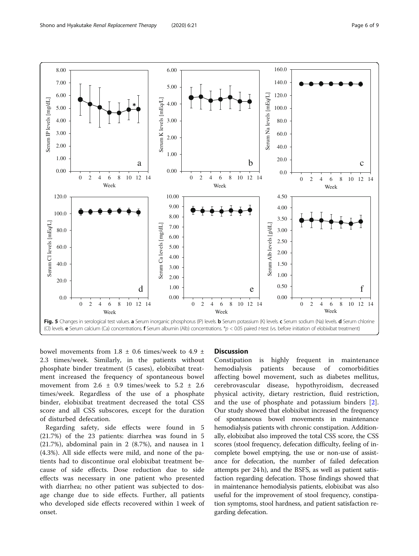<span id="page-5-0"></span>

bowel movements from  $1.8 \pm 0.6$  times/week to  $4.9 \pm 1.6$ 2.3 times/week. Similarly, in the patients without phosphate binder treatment (5 cases), elobixibat treatment increased the frequency of spontaneous bowel movement from  $2.6 \pm 0.9$  times/week to  $5.2 \pm 2.6$ times/week. Regardless of the use of a phosphate binder, elobixibat treatment decreased the total CSS score and all CSS subscores, except for the duration of disturbed defecation.

Regarding safety, side effects were found in 5 (21.7%) of the 23 patients: diarrhea was found in 5 (21.7%), abdominal pain in 2 (8.7%), and nausea in 1 (4.3%). All side effects were mild, and none of the patients had to discontinue oral elobixibat treatment because of side effects. Dose reduction due to side effects was necessary in one patient who presented with diarrhea; no other patient was subjected to dosage change due to side effects. Further, all patients who developed side effects recovered within 1 week of onset.

### **Discussion**

Constipation is highly frequent in maintenance hemodialysis patients because of comorbidities affecting bowel movement, such as diabetes mellitus, cerebrovascular disease, hypothyroidism, decreased physical activity, dietary restriction, fluid restriction, and the use of phosphate and potassium binders [\[2](#page-8-0)]. Our study showed that elobixibat increased the frequency of spontaneous bowel movements in maintenance hemodialysis patients with chronic constipation. Additionally, elobixibat also improved the total CSS score, the CSS scores (stool frequency, defecation difficulty, feeling of incomplete bowel emptying, the use or non-use of assistance for defecation, the number of failed defecation attempts per 24 h), and the BSFS, as well as patient satisfaction regarding defecation. Those findings showed that in maintenance hemodialysis patients, elobixibat was also useful for the improvement of stool frequency, constipation symptoms, stool hardness, and patient satisfaction regarding defecation.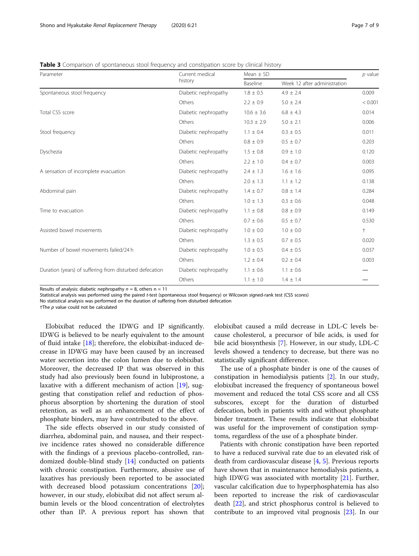<span id="page-6-0"></span>Table 3 Comparison of spontaneous stool frequency and constipation score by clinical history

| Parameter                                               | Current medical<br>history | Mean $\pm$ SD   | $p$ value                    |         |
|---------------------------------------------------------|----------------------------|-----------------|------------------------------|---------|
|                                                         |                            | Baseline        | Week 12 after administration |         |
| Spontaneous stool frequency                             | Diabetic nephropathy       | $1.8 \pm 0.5$   | $4.9 \pm 2.4$                | 0.009   |
|                                                         | Others                     | $2.2 \pm 0.9$   | $5.0 \pm 2.4$                | < 0.001 |
| Total CSS score                                         | Diabetic nephropathy       | $10.6 \pm 3.6$  | $6.8 \pm 4.3$                | 0.014   |
|                                                         | Others                     | $10.3 \pm 2.9$  | $5.0 \pm 2.1$                | 0.006   |
| Stool frequency                                         | Diabetic nephropathy       | $1.1 \pm 0.4$   | $0.3 \pm 0.5$                | 0.011   |
|                                                         | Others                     | $0.8 \pm 0.9$   | $0.5 \pm 0.7$                | 0.203   |
| Dyschezia                                               | Diabetic nephropathy       | $1.5 \pm 0.8$   | $0.9 \pm 1.0$                | 0.120   |
|                                                         | Others                     | $2.2 \pm 1.0$   | $0.4 \pm 0.7$                | 0.003   |
| A sensation of incomplete evacuation                    | Diabetic nephropathy       | $2.4 \pm 1.3$   | $1.6 \pm 1.6$                | 0.095   |
|                                                         | Others                     | $2.0 \pm 1.3$   | $1.1 \pm 1.2$                | 0.138   |
| Abdominal pain                                          | Diabetic nephropathy       | $1.4 \pm 0.7$   | $0.8 \pm 1.4$                | 0.284   |
|                                                         | Others                     | $1.0 \pm 1.3$   | $0.3 \pm 0.6$                | 0.048   |
| Time to evacuation                                      | Diabetic nephropathy       | $1.1\,\pm\,0.8$ | $0.8 \pm 0.9$                | 0.149   |
|                                                         | Others                     | $0.7 \pm 0.6$   | $0.5 \pm 0.7$                | 0.530   |
| Assisted bowel movements                                | Diabetic nephropathy       | $1.0 \pm 0.0$   | $1.0 \pm 0.0$                | $^{+}$  |
|                                                         | Others                     | $1.3 \pm 0.5$   | $0.7 \pm 0.5$                | 0.020   |
| Number of bowel movements failed/24 h                   | Diabetic nephropathy       | $1.0 \pm 0.5$   | $0.4 \pm 0.5$                | 0.037   |
|                                                         | Others                     | $1.2 \pm 0.4$   | $0.2 \pm 0.4$                | 0.003   |
| Duration (years) of suffering from disturbed defecation | Diabetic nephropathy       | $1.1 \pm 0.6$   | $1.1 \pm 0.6$                |         |
|                                                         | Others                     | $1.1 \pm 1.0$   | $1.4 \pm 1.4$                |         |

Results of analysis: diabetic nephropathy  $n = 8$ , others  $n = 11$ 

Statistical analysis was performed using the paired t-test (spontaneous stool frequency) or Wilcoxon signed-rank test (CSS scores)

No statistical analysis was performed on the duration of suffering from disturbed defecation

 $+$ The  $p$  value could not be calculated

Elobixibat reduced the IDWG and IP significantly. IDWG is believed to be nearly equivalent to the amount of fluid intake [\[18\]](#page-8-0); therefore, the elobixibat-induced decrease in IDWG may have been caused by an increased water secretion into the colon lumen due to elobixibat. Moreover, the decreased IP that was observed in this study had also previously been found in lubiprostone, a laxative with a different mechanism of action [\[19\]](#page-8-0), suggesting that constipation relief and reduction of phosphorus absorption by shortening the duration of stool retention, as well as an enhancement of the effect of phosphate binders, may have contributed to the above.

The side effects observed in our study consisted of diarrhea, abdominal pain, and nausea, and their respective incidence rates showed no considerable difference with the findings of a previous placebo-controlled, randomized double-blind study [[14](#page-8-0)] conducted on patients with chronic constipation. Furthermore, abusive use of laxatives has previously been reported to be associated with decreased blood potassium concentrations [\[20](#page-8-0)]; however, in our study, elobixibat did not affect serum albumin levels or the blood concentration of electrolytes other than IP. A previous report has shown that

elobixibat caused a mild decrease in LDL-C levels because cholesterol, a precursor of bile acids, is used for bile acid biosynthesis [\[7](#page-8-0)]. However, in our study, LDL-C levels showed a tendency to decrease, but there was no statistically significant difference.

The use of a phosphate binder is one of the causes of constipation in hemodialysis patients [\[2](#page-8-0)]. In our study, elobixibat increased the frequency of spontaneous bowel movement and reduced the total CSS score and all CSS subscores, except for the duration of disturbed defecation, both in patients with and without phosphate binder treatment. These results indicate that elobixibat was useful for the improvement of constipation symptoms, regardless of the use of a phosphate binder.

Patients with chronic constipation have been reported to have a reduced survival rate due to an elevated risk of death from cardiovascular disease [[4,](#page-8-0) [5\]](#page-8-0). Previous reports have shown that in maintenance hemodialysis patients, a high IDWG was associated with mortality [[21\]](#page-8-0). Further, vascular calcification due to hyperphosphatemia has also been reported to increase the risk of cardiovascular death [\[22](#page-8-0)], and strict phosphorus control is believed to contribute to an improved vital prognosis [\[23](#page-8-0)]. In our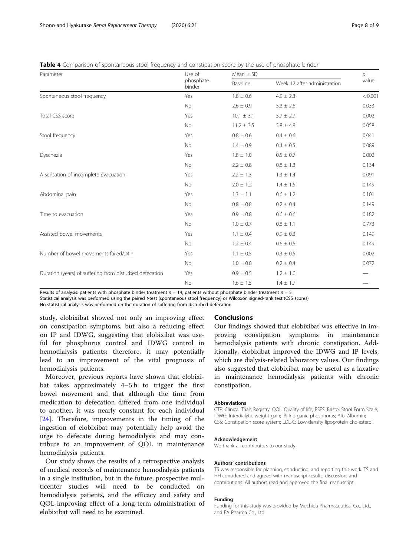<span id="page-7-0"></span>

|  |  |  |  | <b>Table 4</b> Comparison of spontaneous stool frequency and constipation score by the use of phosphate binder |  |  |
|--|--|--|--|----------------------------------------------------------------------------------------------------------------|--|--|
|--|--|--|--|----------------------------------------------------------------------------------------------------------------|--|--|

| Parameter                                               | Use of<br>phosphate<br>binder | Mean $\pm$ SD  |                              |         |  |
|---------------------------------------------------------|-------------------------------|----------------|------------------------------|---------|--|
|                                                         |                               | Baseline       | Week 12 after administration | value   |  |
| Spontaneous stool frequency                             | Yes                           | $1.8 \pm 0.6$  | $4.9 \pm 2.3$                | < 0.001 |  |
|                                                         | No                            | $2.6 \pm 0.9$  | $5.2 \pm 2.6$                | 0.033   |  |
| Total CSS score                                         | Yes                           | $10.1 \pm 3.1$ | $5.7 \pm 2.7$                | 0.002   |  |
|                                                         | No                            | $11.2 \pm 3.5$ | $5.8 \pm 4.8$                | 0.058   |  |
| Stool frequency                                         | Yes                           | $0.8 \pm 0.6$  | $0.4 \pm 0.6$                | 0.041   |  |
|                                                         | No                            | $1.4 \pm 0.9$  | $0.4 \pm 0.5$                | 0.089   |  |
| Dyschezia                                               | Yes                           | $1.8 \pm 1.0$  | $0.5 \pm 0.7$                | 0.002   |  |
|                                                         | No                            | $2.2 \pm 0.8$  | $0.8 \pm 1.3$                | 0.134   |  |
| A sensation of incomplete evacuation                    | Yes                           | $2.2 \pm 1.3$  | $1.3 \pm 1.4$                | 0.091   |  |
|                                                         | No                            | $2.0 \pm 1.2$  | $1.4 \pm 1.5$                | 0.149   |  |
| Abdominal pain                                          | Yes                           | $1.3 \pm 1.1$  | $0.6 \pm 1.2$                | 0.101   |  |
|                                                         | No                            | $0.8 \pm 0.8$  | $0.2 \pm 0.4$                | 0.149   |  |
| Time to evacuation                                      | Yes                           | $0.9 \pm 0.8$  | $0.6 \pm 0.6$                | 0.182   |  |
|                                                         | <b>No</b>                     | $1.0 \pm 0.7$  | $0.8 \pm 1.1$                | 0.773   |  |
| Assisted bowel movements                                | Yes                           | $1.1 \pm 0.4$  | $0.9 \pm 0.3$                | 0.149   |  |
|                                                         | No                            | $1.2 \pm 0.4$  | $0.6 \pm 0.5$                | 0.149   |  |
| Number of bowel movements failed/24 h                   | Yes                           | $1.1 \pm 0.5$  | $0.3 \pm 0.5$                | 0.002   |  |
|                                                         | No                            | $1.0 \pm 0.0$  | $0.2 \pm 0.4$                | 0.072   |  |
| Duration (years) of suffering from disturbed defecation | Yes                           | $0.9 \pm 0.5$  | $1.2 \pm 1.0$                |         |  |
|                                                         | No                            | $1.6 \pm 1.5$  | $1.4 \pm 1.7$                |         |  |

Results of analysis: patients with phosphate binder treatment  $n = 14$ , patients without phosphate binder treatment  $n = 5$ 

Statistical analysis was performed using the paired t-test (spontaneous stool frequency) or Wilcoxon signed-rank test (CSS scores)

No statistical analysis was performed on the duration of suffering from disturbed defecation

study, elobixibat showed not only an improving effect on constipation symptoms, but also a reducing effect on IP and IDWG, suggesting that elobixibat was useful for phosphorus control and IDWG control in hemodialysis patients; therefore, it may potentially lead to an improvement of the vital prognosis of hemodialysis patients.

Moreover, previous reports have shown that elobixibat takes approximately 4–5 h to trigger the first bowel movement and that although the time from medication to defecation differed from one individual to another, it was nearly constant for each individual [[24\]](#page-8-0). Therefore, improvements in the timing of the ingestion of elobixibat may potentially help avoid the urge to defecate during hemodialysis and may contribute to an improvement of QOL in maintenance hemodialysis patients.

Our study shows the results of a retrospective analysis of medical records of maintenance hemodialysis patients in a single institution, but in the future, prospective multicenter studies will need to be conducted on hemodialysis patients, and the efficacy and safety and QOL-improving effect of a long-term administration of elobixibat will need to be examined.

# Conclusions

Our findings showed that elobixibat was effective in improving constipation symptoms in maintenance hemodialysis patients with chronic constipation. Additionally, elobixibat improved the IDWG and IP levels, which are dialysis-related laboratory values. Our findings also suggested that elobixibat may be useful as a laxative in maintenance hemodialysis patients with chronic constipation.

#### **Abbreviations**

CTR: Clinical Trials Registry; QOL: Quality of life; BSFS: Bristol Stool Form Scale; IDWG: Interdialytic weight gain; IP: Inorganic phosphorus; Alb: Albumin; CSS: Constipation score system; LDL-C: Low-density lipoprotein cholesterol

#### Acknowledgement

We thank all contributors to our study.

#### Authors' contributions

TS was responsible for planning, conducting, and reporting this work. TS and HH considered and agreed with manuscript results, discussion, and contributions. All authors read and approved the final manuscript.

#### Funding

Funding for this study was provided by Mochida Pharmaceutical Co., Ltd., and EA Pharma Co., Ltd.